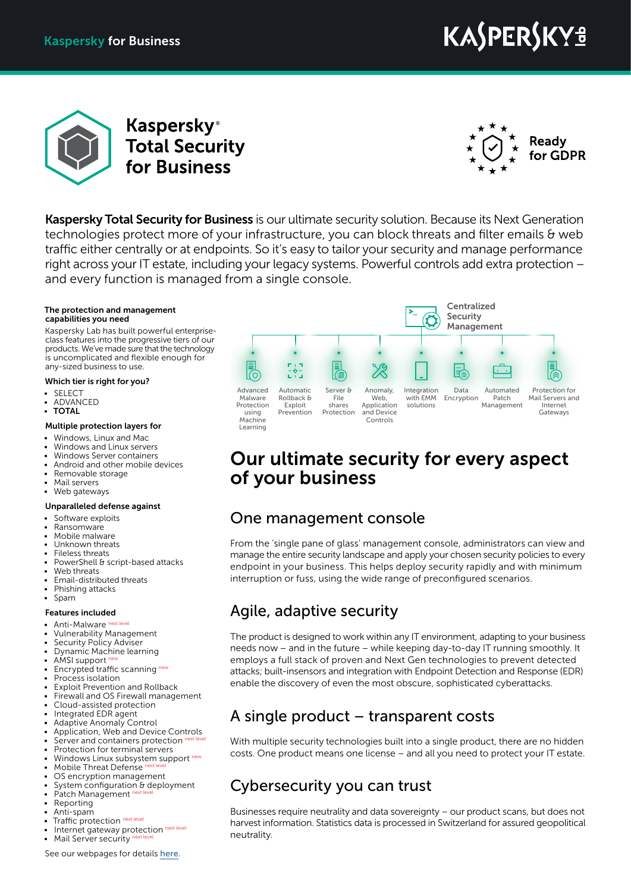# KASPERSKYª



**Kaspersky**<sup>®</sup> **Total Security** for Business



**Kaspersky Total Security for Business** is our ultimate security solution. Because its Next Generation technologies protect more of your infrastructure, you can block threats and filter emails & web traffic either centrally or at endpoints. So it's easy to tailor your security and manage performance right across your IT estate, including your legacy systems. Powerful controls add extra protection – and every function is managed from a single console.

#### The protection and management capabilities you need

Kaspersky Lab has built powerful enterpriseclass features into the progressive tiers of our products. We've made sure that the technology is uncomplicated and flexible enough for any-sized business to use.

#### Which tier is right for you?

- **SELECT**
- ADVANCED • TOTAL
- Multiple protection layers for

#### • Windows, Linux and Mac

- Windows and Linux servers
- Windows Server containers
- Android and other mobile devices
- Removable storage
- Mail servers<br>• Web gatewa
- Web gateways

#### Unparalleled defense against

- Software exploits
- Ransomware
- Mobile malware
- Unknown threats
- Fileless threats PowerShell & script-based attacks
- Web threats
- Email-distributed threats
- Phishing attacks
- Spam

#### Features included

- Anti-Malware next level
- Vulnerability Management
- Security Policy Adviser
- Dynamic Machine learning
- AMSI support
- Encrypted traffic scanning new
- Process isolation
- **Exploit Prevention and Rollback** • Firewall and OS Firewall management
- Cloud-assisted protection
- Integrated EDR agent
- Adaptive Anomaly Control
- Application, Web and Device Controls
- Server and containers protection
- Protection for terminal servers
- Windows Linux subsystem support<sup>n</sup>
- Mobile Threat Defense
- OS encryption management System configuration & deployment
- Patch Management
- **Reporting**
- Anti-spam
- Traffic protection next level
- Internet gateway protection next level Mail Server security
	-

Our ultimate security for every aspect of your business

### One management console

From the 'single pane of glass' management console, administrators can view and manage the entire security landscape and apply your chosen security policies to every endpoint in your business. This helps deploy security rapidly and with minimum interruption or fuss, using the wide range of preconfigured scenarios.

### Agile, adaptive security

The product is designed to work within any IT environment, adapting to your business needs now – and in the future – while keeping day-to-day IT running smoothly. It employs a full stack of proven and Next Gen technologies to prevent detected attacks; built-insensors and integration with Endpoint Detection and Response (EDR) enable the discovery of even the most obscure, sophisticated cyberattacks.

### A single product – transparent costs

With multiple security technologies built into a single product, there are no hidden costs. One product means one license – and all you need to protect your IT estate.

### Cybersecurity you can trust

Businesses require neutrality and data sovereignty – our product scans, but does not harvest information. Statistics data is processed in Switzerland for assured geopolitical neutrality.

See our webpages for details [here](https://www.kaspersky.com/small-to-medium-business-security/total).